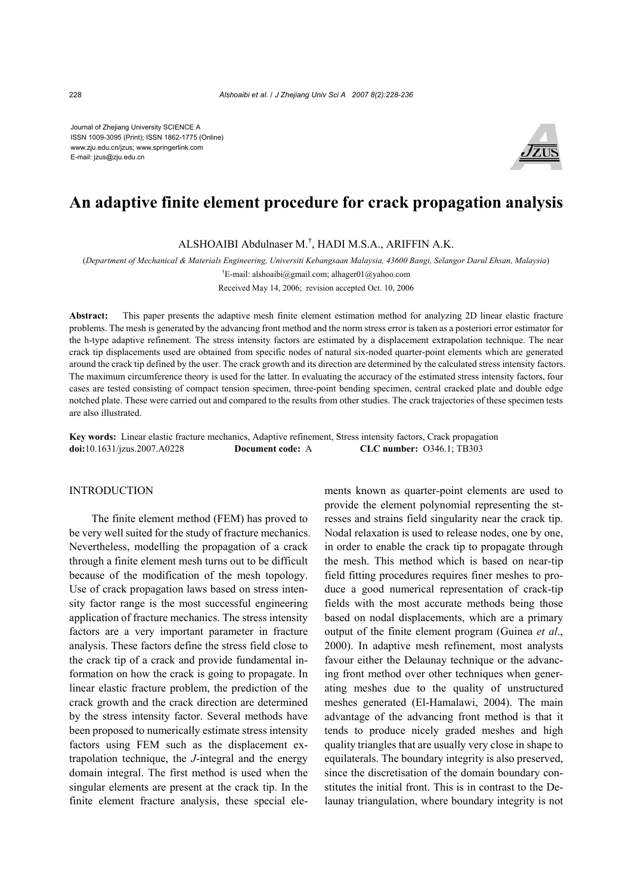Journal of Zhejiang University SCIENCE A ISSN 1009-3095 (Print); ISSN 1862-1775 (Online) www.zju.edu.cn/jzus; www.springerlink.com E-mail: jzus@zju.edu.cn



# **An adaptive finite element procedure for crack propagation analysis**

ALSHOAIBI Abdulnaser M.† , HADI M.S.A., ARIFFIN A.K.

(*Department of Mechanical & Materials Engineering, Universiti Kebangsaan Malaysia, 43600 Bangi, Selangor Darul Ehsan, Malaysia*)

† E-mail: alshoaibi@gmail.com; alhager01@yahoo.com

Received May 14, 2006; revision accepted Oct. 10, 2006

**Abstract:** This paper presents the adaptive mesh finite element estimation method for analyzing 2D linear elastic fracture problems. The mesh is generated by the advancing front method and the norm stress error is taken as a posteriori error estimator for the h-type adaptive refinement. The stress intensity factors are estimated by a displacement extrapolation technique. The near crack tip displacements used are obtained from specific nodes of natural six-noded quarter-point elements which are generated around the crack tip defined by the user. The crack growth and its direction are determined by the calculated stress intensity factors. The maximum circumference theory is used for the latter. In evaluating the accuracy of the estimated stress intensity factors, four cases are tested consisting of compact tension specimen, three-point bending specimen, central cracked plate and double edge notched plate. These were carried out and compared to the results from other studies. The crack trajectories of these specimen tests are also illustrated.

**Key words:** Linear elastic fracture mechanics, Adaptive refinement, Stress intensity factors, Crack propagation **doi:**10.1631/jzus.2007.A0228 **Document code:** A **CLC number:** O346.1; TB303

#### INTRODUCTION

The finite element method (FEM) has proved to be very well suited for the study of fracture mechanics. Nevertheless, modelling the propagation of a crack through a finite element mesh turns out to be difficult because of the modification of the mesh topology. Use of crack propagation laws based on stress intensity factor range is the most successful engineering application of fracture mechanics. The stress intensity factors are a very important parameter in fracture analysis. These factors define the stress field close to the crack tip of a crack and provide fundamental information on how the crack is going to propagate. In linear elastic fracture problem, the prediction of the crack growth and the crack direction are determined by the stress intensity factor. Several methods have been proposed to numerically estimate stress intensity factors using FEM such as the displacement extrapolation technique, the *J*-integral and the energy domain integral. The first method is used when the singular elements are present at the crack tip. In the finite element fracture analysis, these special elements known as quarter-point elements are used to provide the element polynomial representing the stresses and strains field singularity near the crack tip. Nodal relaxation is used to release nodes, one by one, in order to enable the crack tip to propagate through the mesh. This method which is based on near-tip field fitting procedures requires finer meshes to produce a good numerical representation of crack-tip fields with the most accurate methods being those based on nodal displacements, which are a primary output of the finite element program (Guinea *et al*., 2000). In adaptive mesh refinement, most analysts favour either the Delaunay technique or the advancing front method over other techniques when generating meshes due to the quality of unstructured meshes generated (El-Hamalawi, 2004). The main advantage of the advancing front method is that it tends to produce nicely graded meshes and high quality triangles that are usually very close in shape to equilaterals. The boundary integrity is also preserved, since the discretisation of the domain boundary constitutes the initial front. This is in contrast to the Delaunay triangulation, where boundary integrity is not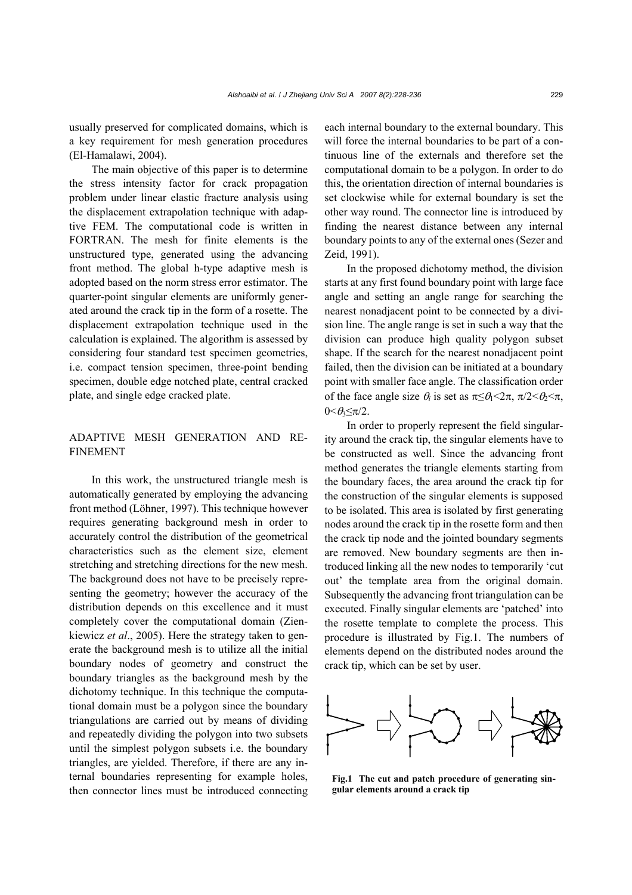usually preserved for complicated domains, which is a key requirement for mesh generation procedures (El-Hamalawi, 2004).

The main objective of this paper is to determine the stress intensity factor for crack propagation problem under linear elastic fracture analysis using the displacement extrapolation technique with adaptive FEM. The computational code is written in FORTRAN. The mesh for finite elements is the unstructured type, generated using the advancing front method. The global h*-*type adaptive mesh is adopted based on the norm stress error estimator. The quarter-point singular elements are uniformly generated around the crack tip in the form of a rosette. The displacement extrapolation technique used in the calculation is explained. The algorithm is assessed by considering four standard test specimen geometries, i.e. compact tension specimen, three-point bending specimen, double edge notched plate, central cracked plate, and single edge cracked plate.

# ADAPTIVE MESH GENERATION AND RE-FINEMENT

In this work, the unstructured triangle mesh is automatically generated by employing the advancing front method (Löhner, 1997). This technique however requires generating background mesh in order to accurately control the distribution of the geometrical characteristics such as the element size, element stretching and stretching directions for the new mesh. The background does not have to be precisely representing the geometry; however the accuracy of the distribution depends on this excellence and it must completely cover the computational domain (Zienkiewicz *et al*., 2005). Here the strategy taken to generate the background mesh is to utilize all the initial boundary nodes of geometry and construct the boundary triangles as the background mesh by the dichotomy technique. In this technique the computational domain must be a polygon since the boundary triangulations are carried out by means of dividing and repeatedly dividing the polygon into two subsets until the simplest polygon subsets i.e. the boundary triangles, are yielded. Therefore, if there are any internal boundaries representing for example holes, then connector lines must be introduced connecting each internal boundary to the external boundary. This will force the internal boundaries to be part of a continuous line of the externals and therefore set the computational domain to be a polygon. In order to do this, the orientation direction of internal boundaries is set clockwise while for external boundary is set the other way round. The connector line is introduced by finding the nearest distance between any internal boundary points to any of the external ones (Sezer and Zeid, 1991).

In the proposed dichotomy method, the division starts at any first found boundary point with large face angle and setting an angle range for searching the nearest nonadjacent point to be connected by a division line. The angle range is set in such a way that the division can produce high quality polygon subset shape. If the search for the nearest nonadjacent point failed, then the division can be initiated at a boundary point with smaller face angle. The classification order of the face angle size  $\theta_i$  is set as  $\pi \leq \theta_1 < 2\pi$ ,  $\pi/2 < \theta_2 < \pi$ ,  $0 < \theta_3 \leq \pi/2$ .

In order to properly represent the field singularity around the crack tip, the singular elements have to be constructed as well. Since the advancing front method generates the triangle elements starting from the boundary faces, the area around the crack tip for the construction of the singular elements is supposed to be isolated. This area is isolated by first generating nodes around the crack tip in the rosette form and then the crack tip node and the jointed boundary segments are removed. New boundary segments are then introduced linking all the new nodes to temporarily 'cut out' the template area from the original domain. Subsequently the advancing front triangulation can be executed. Finally singular elements are 'patched' into the rosette template to complete the process. This procedure is illustrated by Fig.1. The numbers of elements depend on the distributed nodes around the crack tip, which can be set by user.



**Fig.1 The cut and patch procedure of generating singular elements around a crack tip**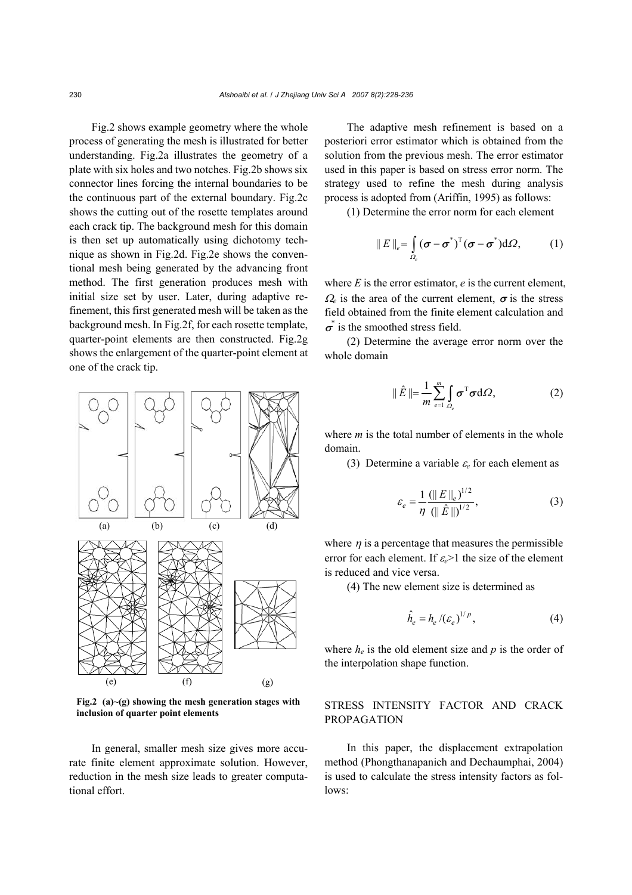Fig.2 shows example geometry where the whole process of generating the mesh is illustrated for better understanding. Fig.2a illustrates the geometry of a plate with six holes and two notches. Fig.2b shows six connector lines forcing the internal boundaries to be the continuous part of the external boundary. Fig.2c shows the cutting out of the rosette templates around each crack tip. The background mesh for this domain is then set up automatically using dichotomy technique as shown in Fig.2d. Fig.2e shows the conventional mesh being generated by the advancing front method. The first generation produces mesh with initial size set by user. Later, during adaptive refinement, this first generated mesh will be taken as the background mesh. In Fig.2f, for each rosette template, quarter-point elements are then constructed. Fig.2g shows the enlargement of the quarter-point element at one of the crack tip.



**Fig.2 (a)~(g) showing the mesh generation stages with inclusion of quarter point elements**

In general, smaller mesh size gives more accurate finite element approximate solution. However, reduction in the mesh size leads to greater computational effort.

The adaptive mesh refinement is based on a posteriori error estimator which is obtained from the solution from the previous mesh. The error estimator used in this paper is based on stress error norm. The strategy used to refine the mesh during analysis process is adopted from (Ariffin, 1995) as follows:

(1) Determine the error norm for each element

$$
\|E\|_{e} = \int_{\Omega_{e}} (\boldsymbol{\sigma} - \boldsymbol{\sigma}^{*})^{\mathrm{T}} (\boldsymbol{\sigma} - \boldsymbol{\sigma}^{*}) d\Omega, \qquad (1)
$$

where  $E$  is the error estimator,  $e$  is the current element,  $\Omega_e$  is the area of the current element,  $\sigma$  is the stress field obtained from the finite element calculation and  $\sigma^*$  is the smoothed stress field.

(2) Determine the average error norm over the whole domain

$$
\|\hat{E}\| = \frac{1}{m} \sum_{e=1}^{m} \int_{\Omega_e} \sigma^{\mathrm{T}} \sigma \mathrm{d}\Omega, \tag{2}
$$

where *m* is the total number of elements in the whole domain.

(3) Determine a variable <sup>ε</sup>*e* for each element as

$$
\varepsilon_e = \frac{1}{\eta} \frac{\left( \parallel E \parallel_e \right)^{1/2}}{\left( \parallel \hat{E} \parallel \right)^{1/2}},\tag{3}
$$

where  $\eta$  is a percentage that measures the permissible error for each element. If <sup>ε</sup>*e*>1 the size of the element is reduced and vice versa.

(4) The new element size is determined as

$$
\hat{h}_e = h_e / (\varepsilon_e)^{1/p},\tag{4}
$$

where  $h_e$  is the old element size and  $p$  is the order of the interpolation shape function.

## STRESS INTENSITY FACTOR AND CRACK PROPAGATION

In this paper, the displacement extrapolation method (Phongthanapanich and Dechaumphai, 2004) is used to calculate the stress intensity factors as follows: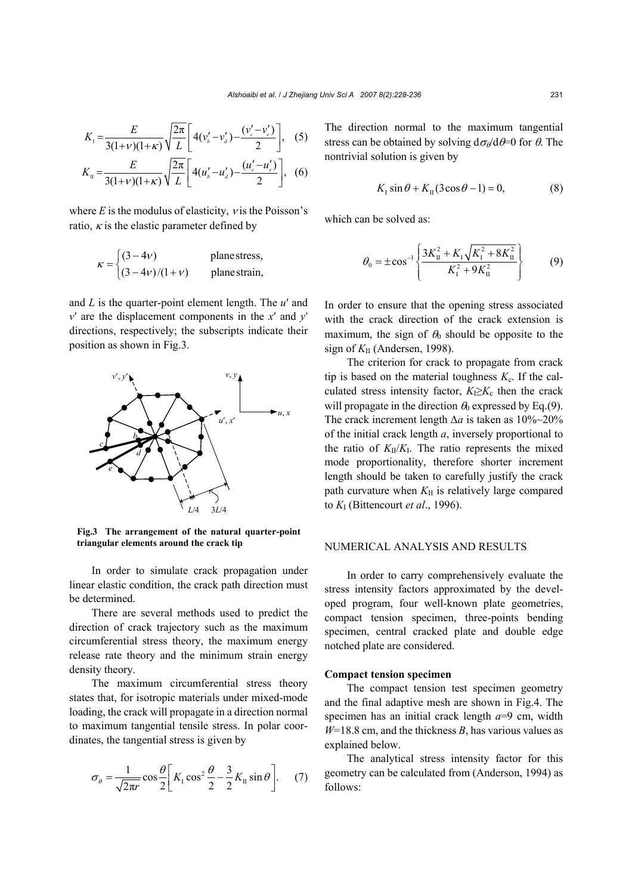$$
K_{1} = \frac{E}{3(1+v)(1+\kappa)} \sqrt{\frac{2\pi}{L}} \left[ 4(v'_{b} - v'_{d}) - \frac{(v'_{c} - v'_{e})}{2} \right], \quad (5)
$$

$$
K_{1} = \frac{E}{3(1+v)(1+\kappa)} \sqrt{\frac{2\pi}{L}} \left[ 4(u'_{b} - u'_{d}) - \frac{(u'_{c} - u'_{e})}{2} \right], \quad (6)
$$

where  $E$  is the modulus of elasticity,  $v$  is the Poisson's ratio,  $\kappa$  is the elastic parameter defined by

$$
\kappa = \begin{cases} (3-4\nu) & \text{plane stress,} \\ (3-4\nu)/(1+\nu) & \text{plane strain,} \end{cases}
$$

and *L* is the quarter-point element length. The *u*′ and *v*′ are the displacement components in the *x*′ and *y*′ directions, respectively; the subscripts indicate their position as shown in Fig.3.



**Fig.3 The arrangement of the natural quarter-point triangular elements around the crack tip**

In order to simulate crack propagation under linear elastic condition, the crack path direction must be determined.

There are several methods used to predict the direction of crack trajectory such as the maximum circumferential stress theory, the maximum energy release rate theory and the minimum strain energy density theory.

The maximum circumferential stress theory states that, for isotropic materials under mixed-mode loading, the crack will propagate in a direction normal to maximum tangential tensile stress. In polar coordinates, the tangential stress is given by

$$
\sigma_{\theta} = \frac{1}{\sqrt{2\pi r}} \cos \frac{\theta}{2} \left[ K_1 \cos^2 \frac{\theta}{2} - \frac{3}{2} K_{\text{II}} \sin \theta \right].
$$
 (7)

The direction normal to the maximum tangential stress can be obtained by solving  $d\sigma_d/d\theta=0$  for  $\theta$ . The nontrivial solution is given by

$$
K_{I}\sin\theta + K_{II}(3\cos\theta - 1) = 0, \tag{8}
$$

which can be solved as:

$$
\theta_0 = \pm \cos^{-1} \left\{ \frac{3K_{\rm H}^2 + K_{\rm I} \sqrt{K_{\rm I}^2 + 8K_{\rm H}^2}}{K_{\rm I}^2 + 9K_{\rm H}^2} \right\} \tag{9}
$$

In order to ensure that the opening stress associated with the crack direction of the crack extension is maximum, the sign of  $\theta_0$  should be opposite to the sign of  $K_{II}$  (Andersen, 1998).

The criterion for crack to propagate from crack tip is based on the material toughness  $K_c$ . If the calculated stress intensity factor,  $K_1 \geq K_c$  then the crack will propagate in the direction  $\theta_0$  expressed by Eq.(9). The crack increment length ∆*a* is taken as 10%~20% of the initial crack length *a*, inversely proportional to the ratio of  $K_{II}/K_I$ . The ratio represents the mixed mode proportionality, therefore shorter increment length should be taken to carefully justify the crack path curvature when  $K_{II}$  is relatively large compared to  $K_I$  (Bittencourt *et al.*, 1996).

#### NUMERICAL ANALYSIS AND RESULTS

In order to carry comprehensively evaluate the stress intensity factors approximated by the developed program, four well-known plate geometries, compact tension specimen, three-points bending specimen, central cracked plate and double edge notched plate are considered.

#### **Compact tension specimen**

The compact tension test specimen geometry and the final adaptive mesh are shown in Fig.4. The specimen has an initial crack length *a*=9 cm, width *W*=18.8 cm, and the thickness *B*, has various values as explained below.

The analytical stress intensity factor for this geometry can be calculated from (Anderson, 1994) as follows: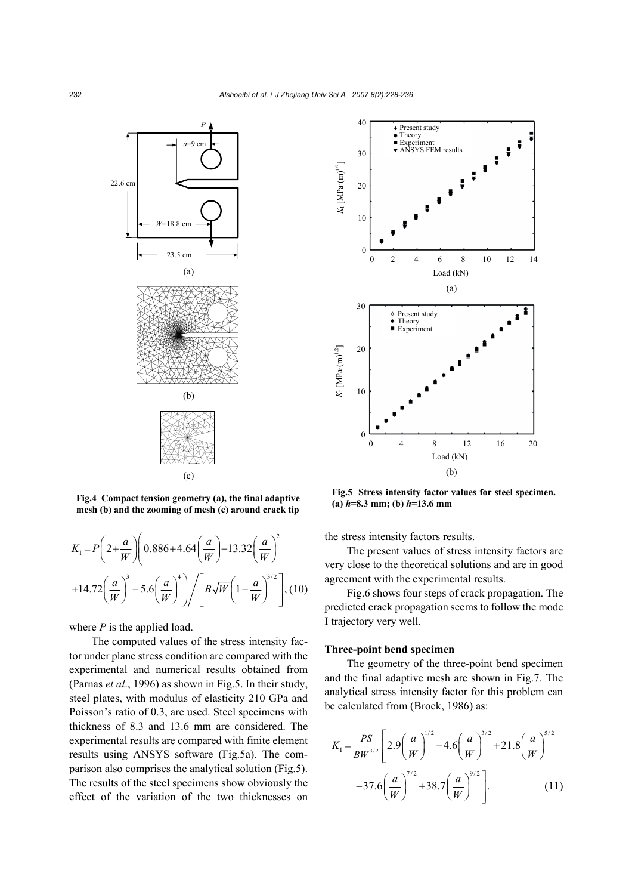

(c)

**Fig.4 Compact tension geometry (a), the final adaptive mesh (b) and the zooming of mesh (c) around crack tip**

$$
K_{1} = P\left(2 + \frac{a}{W}\right)\left(0.886 + 4.64\left(\frac{a}{W}\right) - 13.32\left(\frac{a}{W}\right)^{2}\right) + 14.72\left(\frac{a}{W}\right)^{3} - 5.6\left(\frac{a}{W}\right)^{4}\right)\bigg/\bigg[B\sqrt{W}\bigg(1 - \frac{a}{W}\bigg)^{3/2}\bigg], (10)
$$

where *P* is the applied load.

The computed values of the stress intensity factor under plane stress condition are compared with the experimental and numerical results obtained from (Parnas *et al*., 1996) as shown in Fig.5. In their study, steel plates, with modulus of elasticity 210 GPa and Poisson's ratio of 0.3, are used. Steel specimens with thickness of 8.3 and 13.6 mm are considered. The experimental results are compared with finite element results using ANSYS software (Fig.5a). The comparison also comprises the analytical solution (Fig.5). The results of the steel specimens show obviously the effect of the variation of the two thicknesses on



**Fig.5 Stress intensity factor values for steel specimen. (a)** *h***=8.3 mm; (b)** *h***=13.6 mm**

the stress intensity factors results.

The present values of stress intensity factors are very close to the theoretical solutions and are in good agreement with the experimental results.

Fig.6 shows four steps of crack propagation. The predicted crack propagation seems to follow the mode I trajectory very well.

#### **Three-point bend specimen**

The geometry of the three-point bend specimen and the final adaptive mesh are shown in Fig.7. The analytical stress intensity factor for this problem can be calculated from (Broek, 1986) as:

$$
K_{1} = \frac{PS}{BW^{3/2}} \left[ 2.9 \left( \frac{a}{W} \right)^{1/2} - 4.6 \left( \frac{a}{W} \right)^{3/2} + 21.8 \left( \frac{a}{W} \right)^{5/2} -37.6 \left( \frac{a}{W} \right)^{7/2} + 38.7 \left( \frac{a}{W} \right)^{9/2} \right].
$$
 (11)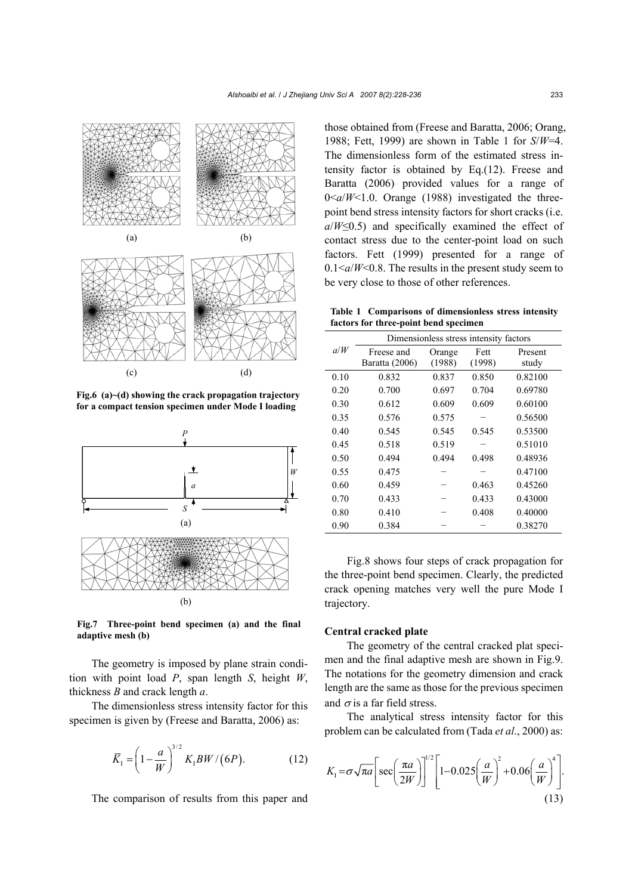

**Fig.6 (a)~(d) showing the crack propagation trajectory for a compact tension specimen under Mode I loading** 



**Fig.7 Three-point bend specimen (a) and the final adaptive mesh (b)** 

The geometry is imposed by plane strain condition with point load *P*, span length *S*, height *W*, thickness *B* and crack length *a*.

The dimensionless stress intensity factor for this specimen is given by (Freese and Baratta, 2006) as:

$$
\overline{K}_1 = \left(1 - \frac{a}{W}\right)^{3/2} K_1 BW / (6P). \tag{12}
$$

The comparison of results from this paper and

those obtained from (Freese and Baratta, 2006; Orang, 1988; Fett, 1999) are shown in Table 1 for *S*/*W*=4. The dimensionless form of the estimated stress intensity factor is obtained by Eq.(12). Freese and Baratta (2006) provided values for a range of 0<*a*/*W*<1.0. Orange (1988) investigated the threepoint bend stress intensity factors for short cracks (i.e. *a*/*W*≤0.5) and specifically examined the effect of contact stress due to the center-point load on such factors. Fett (1999) presented for a range of  $0.1 \le a/W \le 0.8$ . The results in the present study seem to be very close to those of other references.

**Table 1 Comparisons of dimensionless stress intensity factors for three-point bend specimen** 

|      | Dimensionless stress intensity factors |                  |                |                  |
|------|----------------------------------------|------------------|----------------|------------------|
| a/W  | Freese and<br>Baratta (2006)           | Orange<br>(1988) | Fett<br>(1998) | Present<br>study |
| 0.10 | 0.832                                  | 0.837            | 0.850          | 0.82100          |
| 0.20 | 0.700                                  | 0.697            | 0.704          | 0.69780          |
| 0.30 | 0.612                                  | 0.609            | 0.609          | 0.60100          |
| 0.35 | 0.576                                  | 0.575            |                | 0.56500          |
| 0.40 | 0.545                                  | 0.545            | 0.545          | 0.53500          |
| 0.45 | 0.518                                  | 0.519            |                | 0.51010          |
| 0.50 | 0.494                                  | 0.494            | 0.498          | 0.48936          |
| 0.55 | 0.475                                  |                  |                | 0.47100          |
| 0.60 | 0.459                                  |                  | 0.463          | 0.45260          |
| 0.70 | 0.433                                  |                  | 0.433          | 0.43000          |
| 0.80 | 0.410                                  |                  | 0.408          | 0.40000          |
| 0.90 | 0.384                                  |                  |                | 0.38270          |

Fig.8 shows four steps of crack propagation for the three-point bend specimen. Clearly, the predicted crack opening matches very well the pure Mode I trajectory.

#### **Central cracked plate**

The geometry of the central cracked plat specimen and the final adaptive mesh are shown in Fig.9. The notations for the geometry dimension and crack length are the same as those for the previous specimen and  $\sigma$  is a far field stress.

The analytical stress intensity factor for this problem can be calculated from (Tada *et al*., 2000) as:

$$
K_1 = \sigma \sqrt{\pi a} \left[ \sec \left( \frac{\pi a}{2W} \right) \right]^{1/2} \left[ 1 - 0.025 \left( \frac{a}{W} \right)^2 + 0.06 \left( \frac{a}{W} \right)^4 \right].
$$
\n(13)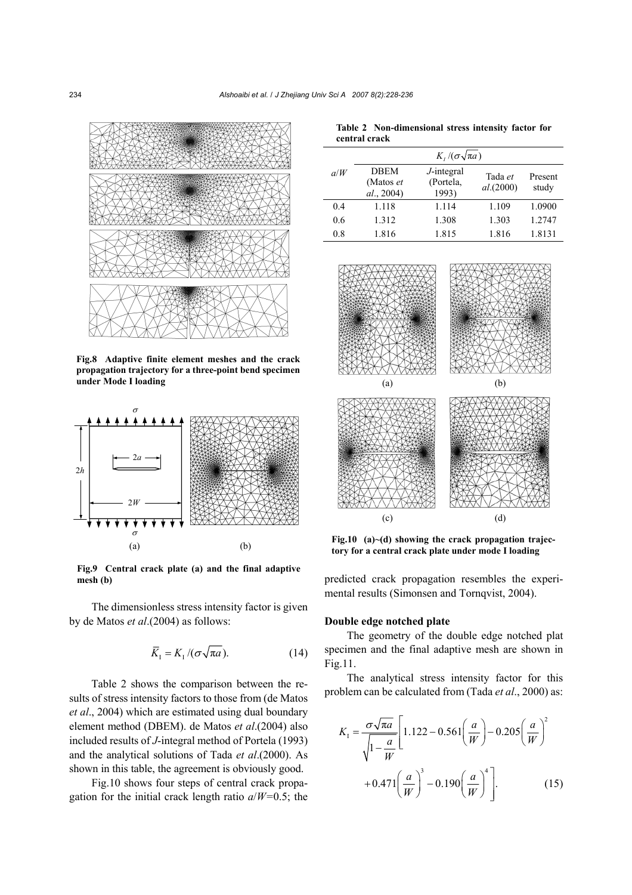

**Fig.8 Adaptive finite element meshes and the crack propagation trajectory for a three-point bend specimen under Mode I loading** 



**Fig.9 Central crack plate (a) and the final adaptive mesh (b)** 

The dimensionless stress intensity factor is given by de Matos *et al*.(2004) as follows:

$$
\overline{K}_{I} = K_{I} / (\sigma \sqrt{\pi a}). \tag{14}
$$

Table 2 shows the comparison between the results of stress intensity factors to those from (de Matos *et al*., 2004) which are estimated using dual boundary element method (DBEM). de Matos *et al*.(2004) also included results of *J*-integral method of Portela (1993) and the analytical solutions of Tada *et al*.(2000). As shown in this table, the agreement is obviously good.

Fig.10 shows four steps of central crack propagation for the initial crack length ratio *a*/*W=*0.5; the

**Table 2 Non-dimensional stress intensity factor for central crack** 

|     | $K_1/(\sigma \sqrt{\pi a})$            |                                     |                       |                  |  |
|-----|----------------------------------------|-------------------------------------|-----------------------|------------------|--|
| a/W | <b>DBEM</b><br>(Matos et<br>al., 2004) | $J$ -integral<br>(Portela,<br>1993) | Tada et<br>al. (2000) | Present<br>study |  |
| 0.4 | 1.118                                  | 1.114                               | 1.109                 | 1.0900           |  |
| 0.6 | 1.312                                  | 1.308                               | 1.303                 | 1.2747           |  |
| 0.8 | 1.816                                  | 1.815                               | 1.816                 | 1.8131           |  |



(a) **Fig.10** (a)  $\sim$  (d) showing the crack propagation trajec**tory for a central crack plate under mode I loading** 

predicted crack propagation resembles the experimental results (Simonsen and Tornqvist, 2004).

## **Double edge notched plate**

The geometry of the double edge notched plat specimen and the final adaptive mesh are shown in Fig.11.

The analytical stress intensity factor for this problem can be calculated from (Tada *et al*., 2000) as:

$$
K_{1} = \frac{\sigma \sqrt{\pi a}}{\sqrt{1 - \frac{a}{W}}} \left[ 1.122 - 0.561 \left( \frac{a}{W} \right) - 0.205 \left( \frac{a}{W} \right)^{2} + 0.471 \left( \frac{a}{W} \right)^{3} - 0.190 \left( \frac{a}{W} \right)^{4} \right].
$$
 (15)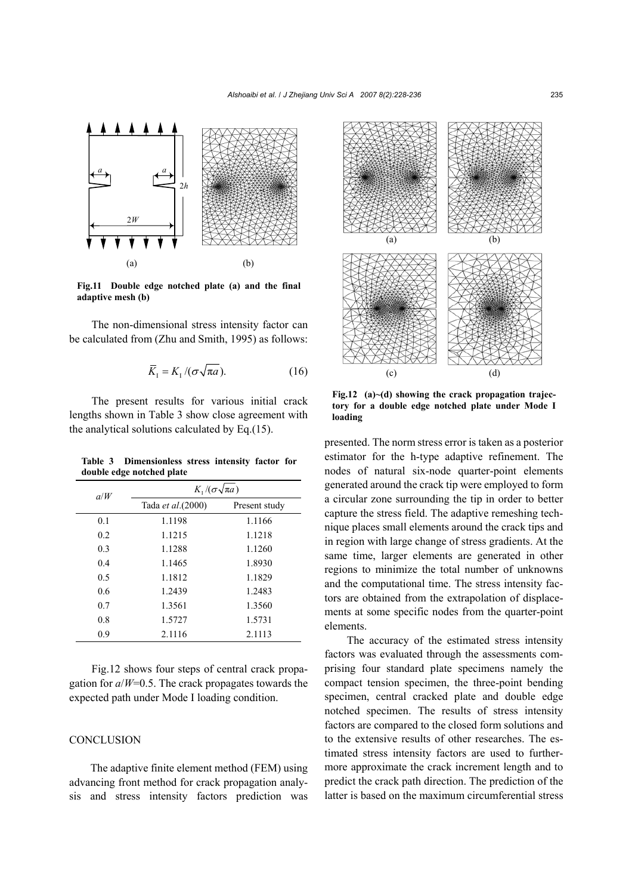

**Fig.11 Double edge notched plate (a) and the final adaptive mesh (b)** 

The non-dimensional stress intensity factor can be calculated from (Zhu and Smith, 1995) as follows:

$$
\overline{K}_1 = K_1 / (\sigma \sqrt{\pi a}). \tag{16}
$$

The present results for various initial crack lengths shown in Table 3 show close agreement with the analytical solutions calculated by Eq.(15).

**Table 3 Dimensionless stress intensity factor for double edge notched plate** 

| a/W            | $K_1/(\sigma \sqrt{\pi a})$ |               |  |  |
|----------------|-----------------------------|---------------|--|--|
|                | Tada et al.(2000)           | Present study |  |  |
| 0.1            | 1.1198                      | 1.1166        |  |  |
| 0.2            | 1.1215                      | 1.1218        |  |  |
| 0.3            | 1.1288                      | 1.1260        |  |  |
| 0.4            | 1.1465                      | 1.8930        |  |  |
| 0 <sub>5</sub> | 1.1812                      | 1.1829        |  |  |
| 0.6            | 1.2439                      | 1.2483        |  |  |
| 0.7            | 1.3561                      | 1.3560        |  |  |
| 0.8            | 1.5727                      | 1.5731        |  |  |
| 0.9            | 2.1116                      | 2.1113        |  |  |

Fig.12 shows four steps of central crack propagation for *a*/*W*=0.5. The crack propagates towards the expected path under Mode I loading condition.

## **CONCLUSION**

The adaptive finite element method (FEM) using advancing front method for crack propagation analysis and stress intensity factors prediction was



**Fig.12 (a)~(d) showing the crack propagation trajectory for a double edge notched plate under Mode I loading** 

presented. The norm stress error is taken as a posterior estimator for the h-type adaptive refinement. The nodes of natural six-node quarter-point elements generated around the crack tip were employed to form a circular zone surrounding the tip in order to better capture the stress field. The adaptive remeshing technique places small elements around the crack tips and in region with large change of stress gradients. At the same time, larger elements are generated in other regions to minimize the total number of unknowns and the computational time. The stress intensity factors are obtained from the extrapolation of displacements at some specific nodes from the quarter-point elements.

The accuracy of the estimated stress intensity factors was evaluated through the assessments comprising four standard plate specimens namely the compact tension specimen, the three-point bending specimen, central cracked plate and double edge notched specimen. The results of stress intensity factors are compared to the closed form solutions and to the extensive results of other researches. The estimated stress intensity factors are used to furthermore approximate the crack increment length and to predict the crack path direction. The prediction of the latter is based on the maximum circumferential stress